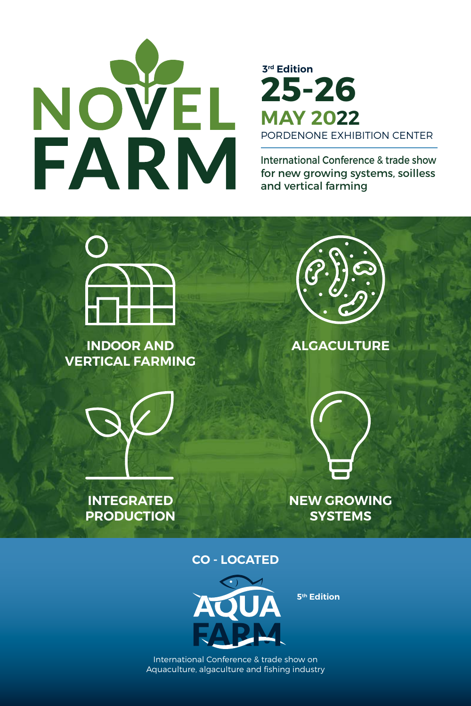

# **3rd Edition** PORDENONE EXHIBITION CENTER **25-26 MAY 2022**

International Conference & trade show for new growing systems, soilless and vertical farming



**INDOOR AND VERTICAL FARMING**



**INTEGRATED PRODUCTION**



**ALGACULTURE**



**NEW GROWING SYSTEMS**

#### **CO - LOCATED**



**5th Edition**

International Conference & trade show on Aquaculture, algaculture and fishing industry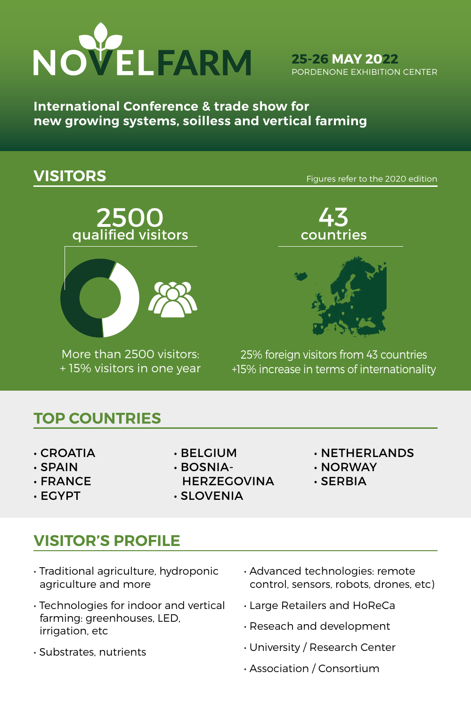

**25-26 MAY 2022** PORDENONE EXHIBITION CENTER

**International Conference & trade show for new growing systems, soilless and vertical farming**

**VISITORS Example 2020** edition





More than 2500 visitors: + 15% visitors in one year





25% foreign visitors from 43 countries +15% increase in terms of internationality

### **TOP COUNTRIES**

- CROATIA
- SPAIN
- FRANCE
- EGYPT
- BELGIUM
- BOSNIA-
- **HERZEGOVINA**
- SLOVENIA
- NETHERLANDS
- NORWAY
- SERBIA

# **VISITOR'S PROFILE**

- Traditional agriculture, hydroponic agriculture and more
- Technologies for indoor and vertical farming: greenhouses, LED, irrigation, etc
- Substrates, nutrients
- Advanced technologies: remote control, sensors, robots, drones, etc)
- Large Retailers and HoReCa
- Reseach and development
- University / Research Center
- Association / Consortium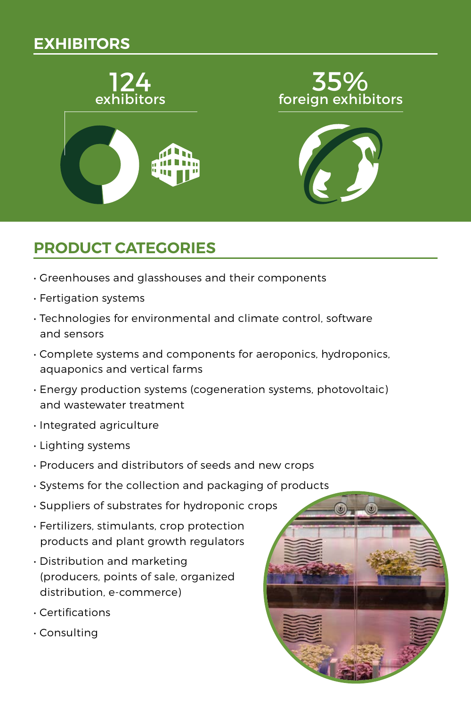# **EXHIBITORS**



# **PRODUCT CATEGORIES**

- Greenhouses and glasshouses and their components
- Fertigation systems
- Technologies for environmental and climate control, software and sensors
- Complete systems and components for aeroponics, hydroponics, aquaponics and vertical farms
- Energy production systems (cogeneration systems, photovoltaic) and wastewater treatment
- Integrated agriculture
- Lighting systems
- Producers and distributors of seeds and new crops
- Systems for the collection and packaging of products
- Suppliers of substrates for hydroponic crops
- Fertilizers, stimulants, crop protection products and plant growth regulators
- Distribution and marketing (producers, points of sale, organized distribution, e-commerce)
- Certifications
- Consulting

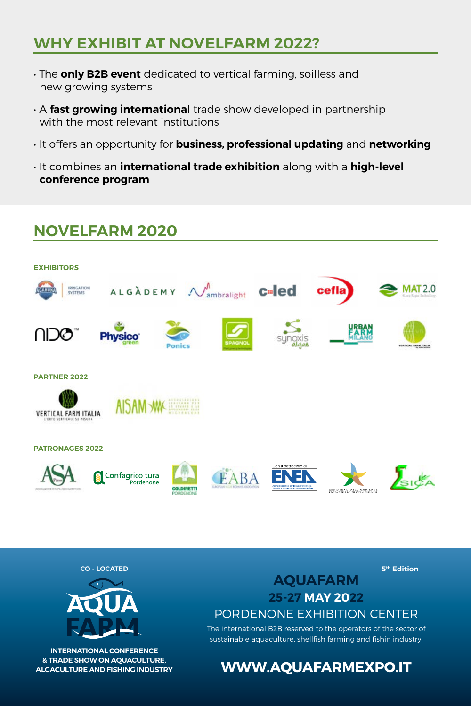## **WHY EXHIBIT AT NOVELFARM 2022?**

- The **only B2B event** dedicated to vertical farming, soilless and new growing systems
- A **fast growing internationa**l trade show developed in partnership with the most relevant institutions
- It offers an opportunity for **business, professional updating** and **networking**
- It combines an **international trade exhibition** along with a **high-level conference program**

# **NOVELFARM 2020 EXHIBITORS** ALGADEMY  $\mathcal{N}_{\text{ambralight}}$  **C**-led IRRIGATION **MAT2.0** cefla ∩∣ว⊘™ **PARTNER 2022** AISAM WK VERTICAL FARM ITALIA **PATRONAGES 2022**  $\int_{\mathbb{S}} \mathbb{R} d \xi$ Confagricoltura EABA

**CO - LOCATED**



**INTERNATIONAL CONFERENCE & TRADE SHOW ON AQUACULTURE, ALGACULTURE AND FISHING INDUSTRY** **5th Edition**

**AQUAFARM 25-27 MAY 2022** PORDENONE EXHIBITION CENTER

The international B2B reserved to the operators of the sector of sustainable aquaculture, shellfish farming and fishin industry.

#### **WWW.AQUAFARMEXPO.IT**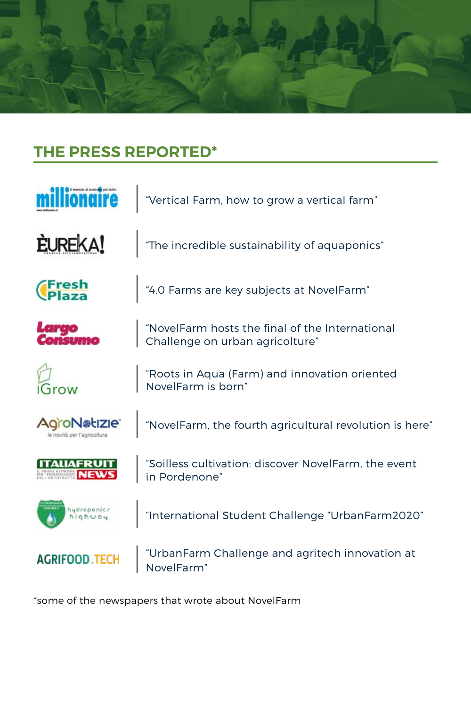

# **THE PRESS REPORTED\***

|                             | "Vertical Farm, how to grow a vertical farm"                                       |
|-----------------------------|------------------------------------------------------------------------------------|
| <b>EUREKA!</b>              | "The incredible sustainability of aquaponics"                                      |
|                             | "4.0 Farms are key subjects at NovelFarm"                                          |
|                             | "NovelFarm hosts the final of the International<br>Challenge on urban agricolture" |
|                             | "Roots in Aqua (Farm) and innovation oriented<br>NovelFarm is born"                |
| le novità per l'agricoltura | "NovelFarm, the fourth agricultural revolution is here"                            |
|                             | "Soilless cultivation: discover NovelFarm, the event<br>in Pordenone"              |
| hydroponic<br>highua        | "International Student Challenge "UrbanFarm2020"                                   |
|                             | "UrbanFarm Challenge and agritech innovation at<br>NovelFarm"                      |

\*some of the newspapers that wrote about NovelFarm